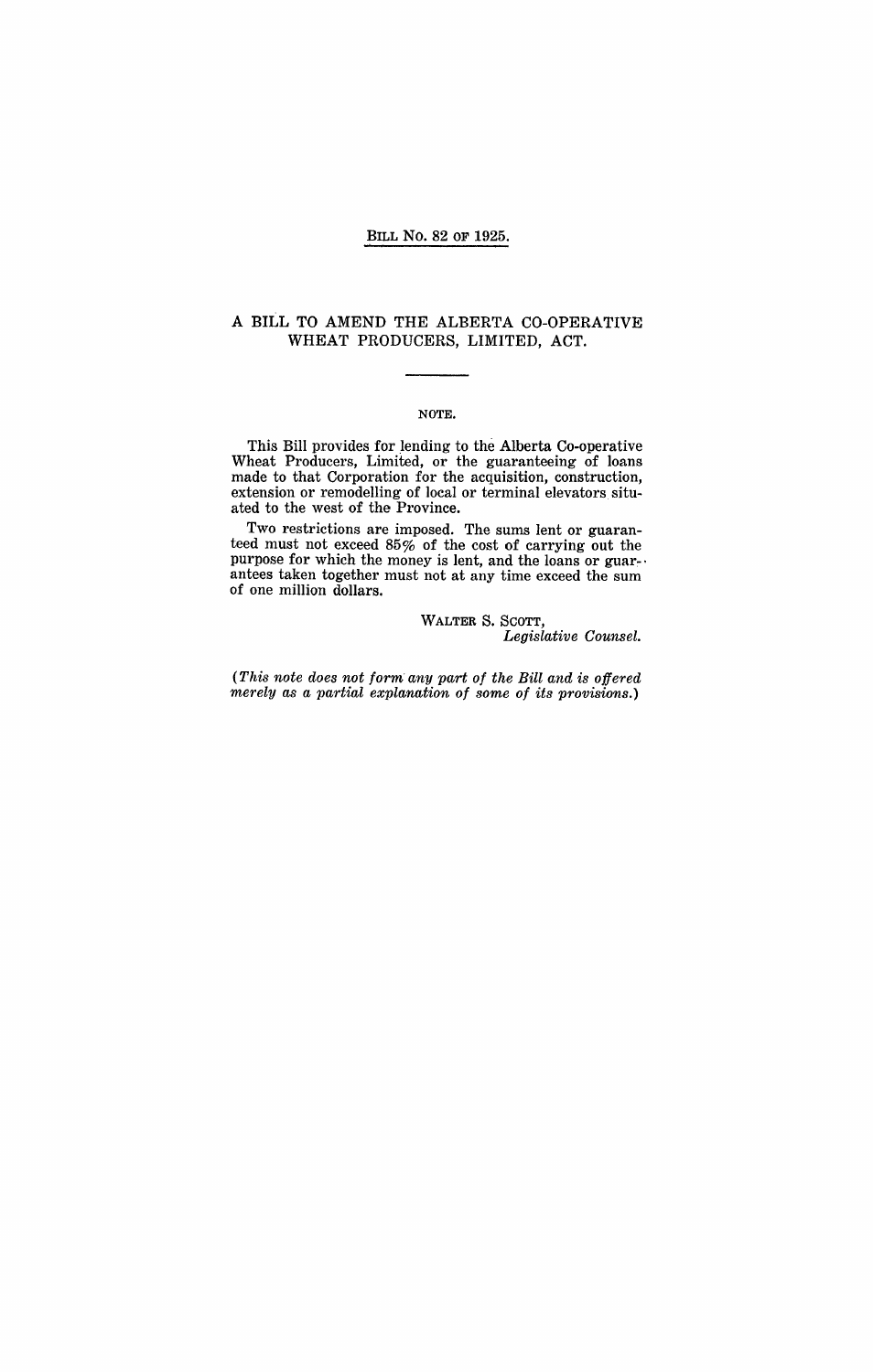### BILL No. 82 OF 1925.

# A BILL TO AMEND THE ALBERTA CO-OPERATIVE WHEAT PRODUCERS, LIMITED, ACT.

#### NOTE.

This Bill provides for lending to the Alberta Co-operative Wheat Producers, Limited, or the guaranteeing of loans made to that Corporation for the acquisition, construction, extension or remodelling of local or terminal elevators situated to the west of the Province.

Two restrictions are imposed. The sums lent or guaranteed must not exceed 85% of the cost of carrying out the purpose for which the money is lent, and the loans or guarantees taken together must not at any time exceed the sum of one million dollars.

> WALTER S. SCOTT, *Legislative Counsel.*

*(This note does not form any part of the Bill and is offered merely as a partial explanation of some of its provisions.)*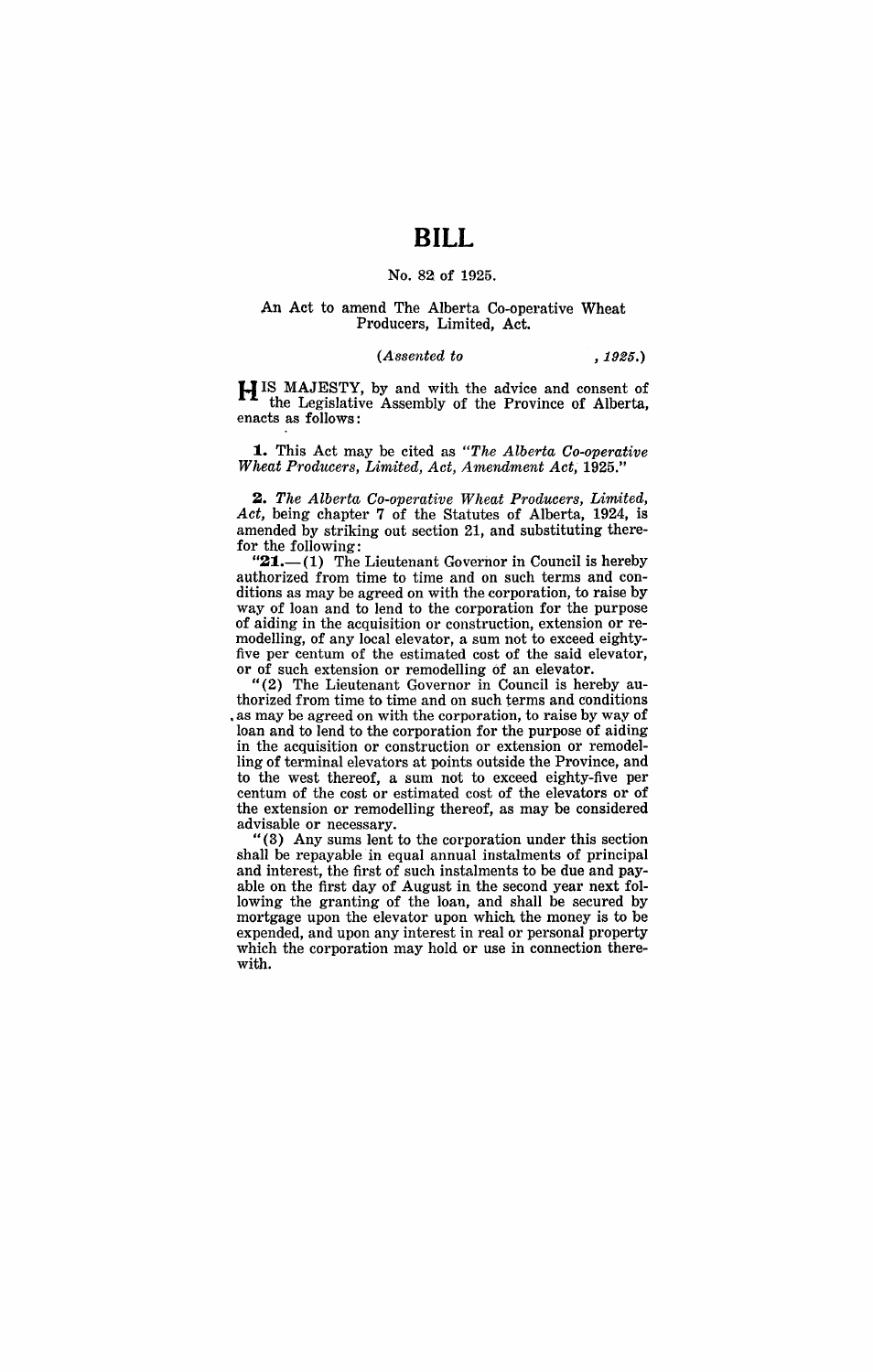# **BILL**

## No. 82 of 1925.

#### An Act to amend The Alberta Co-operative Wheat Producers, Limited, Act.

#### *(Assented to* ,1925.)

H IS MAJESTY, by and with the advice and consent of the Legislative Assembly of the Province of Alberta, enacts as follows:

**1.** This Act may be cited as *"The Alberta Co-operative Wheat Producers, Limited, Act, Amendment Act, 1925."* 

*2. The Alberta Co-operative Wheat Producers, Limited, Act,* being chapter 7 of the Statutes of Alberta, 1924, is amended by striking out section 21, and substituting therefor the following:

 $"21$ .-(1) The Lieutenant Governor in Council is hereby authorized from time to time and on such terms and conditions as may be agreed on with the corporation, to raise by way of loan and to lend to the corporation for the purpose of aiding in the acquisition or construction, extension or remodelling, of any local elevator, a sum not to exceed eightyfive per centum of the estimated cost of the said elevator, or of such extension or remodelling of an elevator.

"(2) The Lieutenant Governor in Council is hereby au-<br>thorized from time to time and on such terms and conditions , as may be agreed on with the corporation, to raise by way of loan and to lend to the corporation for the purpose of aiding in the acquisition or construction or extension or remodelling of terminal elevators at points outside the Province, and to the west thereof, a sum not to exceed eighty-five per centum of the cost or estimated cost of the elevators or of the extension or remodelling thereof, as may be considered advisable or necessary.

"(3) Any sums lent to the corporation under this section shall be repayable in equal annual instalments of principal and interest, the first of such instalments to be due and payable on the first day of August in the second year next following the granting of the loan, and shall be secured by mortgage upon the elevator upon which the money is to be expended, and upon any interest in real or personal property which the corporation may hold or use in connection therewith.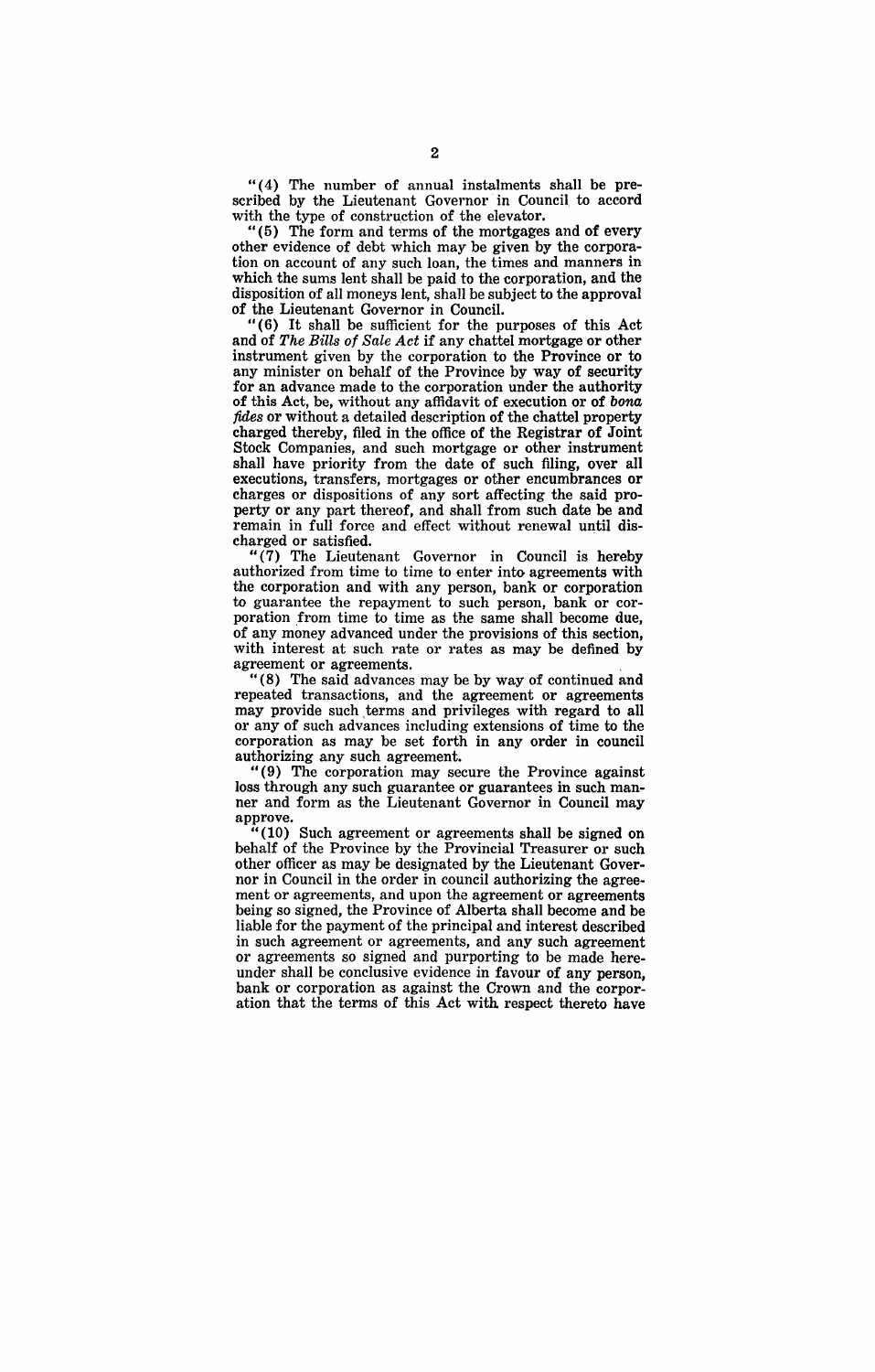"( 4) The number of annual instalments shall be prescribed by the Lieutenant Governor in Council to accord with the type of construction of the elevator.

" (5) The form and terms of the mortgages and of every other evidence of debt which may be given by the corporation on account of any such loan, the times and manners in which the sums lent shall be paid to the eorporation, and the disposition of all moneys lent, shall be subject to the approval of the Lieutenant Governor in Council.

"(6) It shall be sufficient for the purposes of this Act and of *The Bills of Sale Act* if any chattel mortgage or other instrument given by the corporation to the Province or to any minister on behalf of the Province by way of security for an advance made to the corporation under the authority of this Act, be, without any affidavit of execution or of bona *fides* or without a detailed description of the chattel property charged thereby, filed in the office of the Registrar of Joint Stock Companies, and such mortgage or other instrument shall have priority from the date of such filing, over all executions, transfers, mortgages or other encumbrances or charges or dispositions of any sort affecting the said property or any part thereof, and shall from such date be and remain in full force and effect without renewal until discharged or satisfied. '

"(7) The Lieutenant Governor in Council is hereby authorized from time to time to enter into agreements with the corporation and with any person, bank or corporation to guarantee the repayment to such person, bank or corporation from time to time as the same shall become due, of any money advanced under the provisions of this section, with interest at such rate or rates as may be defined by agreement or agreements.

"(8) The said advances may be by way of continued and repeated transactions, and the agreement or agreements may provide such terms and privileges with regard to all or any of such advances including extensions of time to the corporation as may be set forth in any order in council

" $(9)$  The corporation may secure the Province against loss through any such guarantee or guarantees in such manner and form as the Lieutenant Governor in Council may

(10) Such agreement or agreements shall be signed on behalf of the Province by the Provincial Treasurer or such other officer as may be designated by the Lieutenant Governor in Council in the order in council authorizing the agreement or agreements, and upon the agreement or agreements being so signed, the Province of Alberta shall become and be liable for the payment of the principal and interest described in such agreement or agreements, and any such agreement or agreements so signed and purporting to be made hereunder shall be conclusive evidence in favour of any person, bank or corporation as against the Crown and the corporation that the terms of this Act with respect thereto have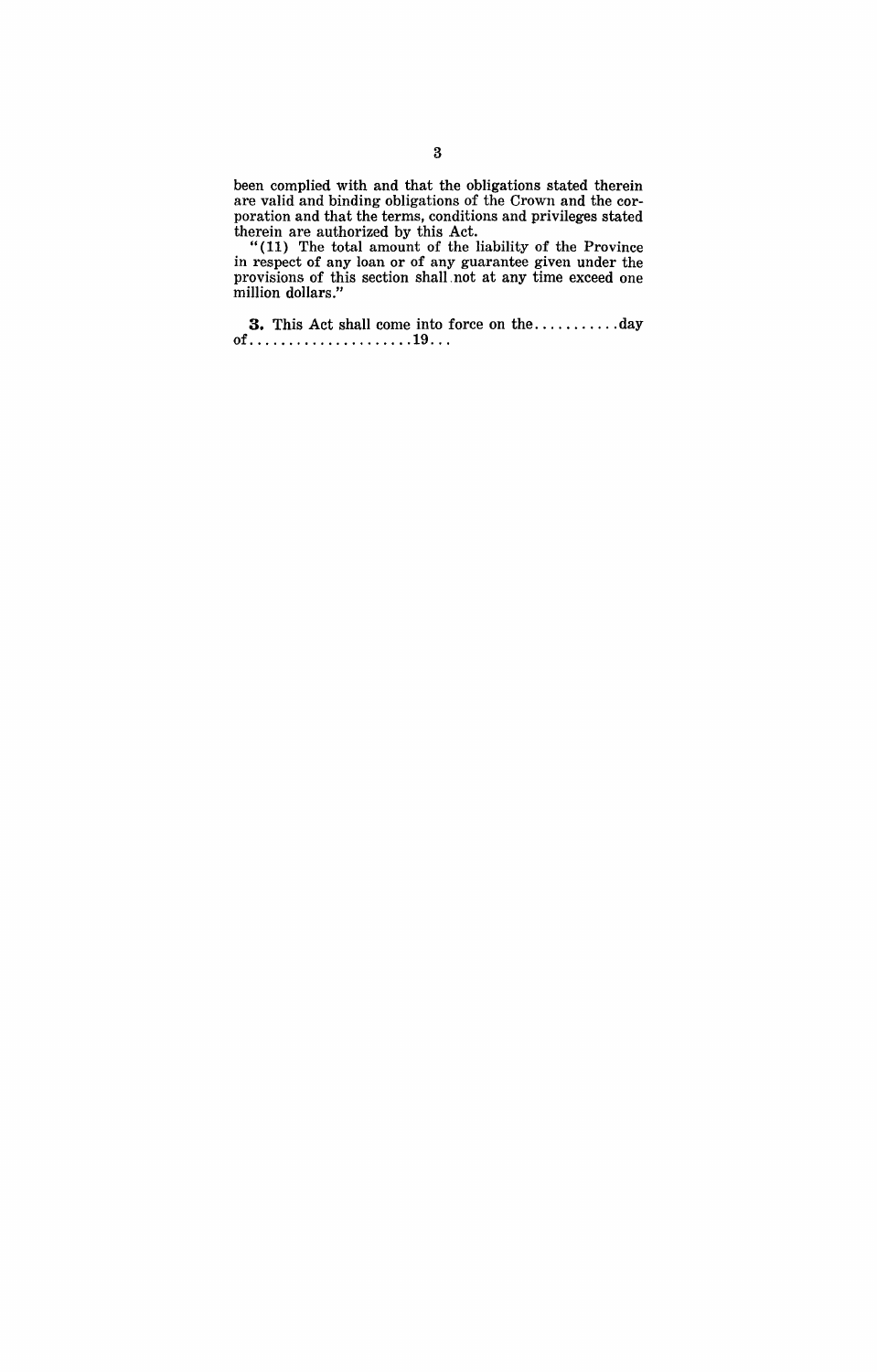been complied with and that the obligations stated therein are valid and binding obligations of the Crown and the corporation and that the terms, conditions and privileges stated therein are authorized by this Act.

"(11) The total amount of the liability of the Province in respect of any loan or of any guarantee given under the provisions of this section shall.not at any time exceed one million dollars."

**3.** This Act shall come into force on the ........... day of ..................... 19 .. .